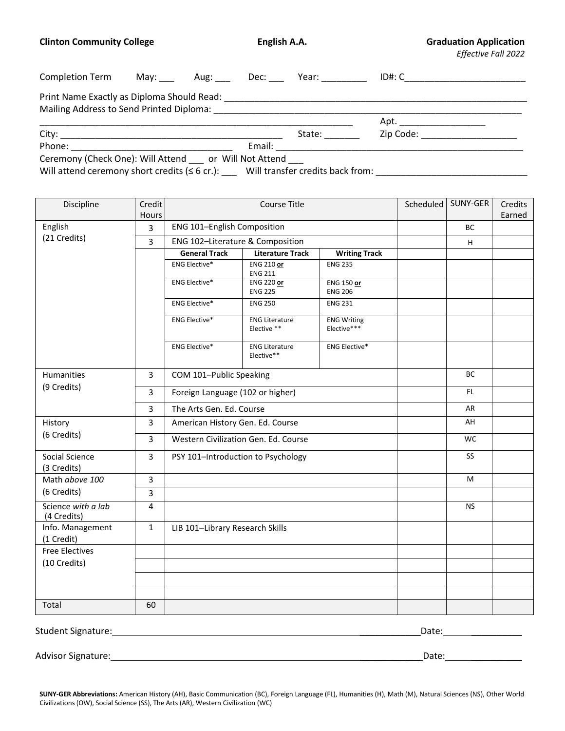**SUNY-GER Abbreviations:** American History (AH), Basic Communication (BC), Foreign Language (FL), Humanities (H), Math (M), Natural Sciences (NS), Other World Civilizations (OW), Social Science (SS), The Arts (AR), Western Civilization (WC)

| <b>Clinton Community College</b> | English A.A. | <b>Graduation Application</b> |
|----------------------------------|--------------|-------------------------------|
|                                  |              |                               |

*Effective Fall 2022*

| <b>Completion Term</b>                                                                                                                                     | May: Aug: | Dec: | Year: when the control of the control of the control of the control of the control of the control of the control of the control of the control of the control of the control of the control of the control of the control of t | ID#: C                                                                                                        |
|------------------------------------------------------------------------------------------------------------------------------------------------------------|-----------|------|--------------------------------------------------------------------------------------------------------------------------------------------------------------------------------------------------------------------------------|---------------------------------------------------------------------------------------------------------------|
| Print Name Exactly as Diploma Should Read:                                                                                                                 |           |      |                                                                                                                                                                                                                                |                                                                                                               |
|                                                                                                                                                            |           |      |                                                                                                                                                                                                                                | Apt.                                                                                                          |
|                                                                                                                                                            |           |      | State:                                                                                                                                                                                                                         | Zip Code: The Code Service of the Code Service of the Code Service of the Code Service of the Code Service of |
|                                                                                                                                                            |           |      |                                                                                                                                                                                                                                |                                                                                                               |
| Ceremony (Check One): Will Attend __ or Will Not Attend __<br>Will attend ceremony short credits $(\leq 6 \text{ cr.})$ : Will transfer credits back from: |           |      |                                                                                                                                                                                                                                |                                                                                                               |

| Discipline                        | Credit<br>Hours | <b>Course Title</b>                  |                                      |                                   | Scheduled   SUNY-GER | Credits<br>Earned |
|-----------------------------------|-----------------|--------------------------------------|--------------------------------------|-----------------------------------|----------------------|-------------------|
| English                           | $\overline{3}$  | ENG 101-English Composition          | <b>BC</b>                            |                                   |                      |                   |
| (21 Credits)                      | $\overline{3}$  | ENG 102-Literature & Composition     | H                                    |                                   |                      |                   |
|                                   |                 | <b>General Track</b>                 | <b>Literature Track</b>              | <b>Writing Track</b>              |                      |                   |
|                                   |                 | ENG Elective*                        | ENG 210 or                           | <b>ENG 235</b>                    |                      |                   |
|                                   |                 | <b>ENG Elective*</b>                 | <b>ENG 211</b><br><b>ENG 220 or</b>  | <b>ENG 150 or</b>                 |                      |                   |
|                                   |                 |                                      | <b>ENG 225</b>                       | <b>ENG 206</b>                    |                      |                   |
|                                   |                 | <b>ENG Elective*</b>                 | <b>ENG 250</b>                       | <b>ENG 231</b>                    |                      |                   |
|                                   |                 | <b>ENG Elective*</b>                 | <b>ENG Literature</b><br>Elective ** | <b>ENG Writing</b><br>Elective*** |                      |                   |
|                                   |                 |                                      |                                      |                                   |                      |                   |
|                                   |                 | <b>ENG Elective*</b>                 | <b>ENG Literature</b><br>Elective**  | <b>ENG Elective*</b>              |                      |                   |
| <b>Humanities</b><br>(9 Credits)  | $\overline{3}$  | COM 101-Public Speaking              | BC                                   |                                   |                      |                   |
|                                   | 3               | Foreign Language (102 or higher)     | FL.                                  |                                   |                      |                   |
|                                   | 3               | The Arts Gen. Ed. Course             |                                      |                                   | AR                   |                   |
| History<br>(6 Credits)            | $\overline{3}$  | American History Gen. Ed. Course     |                                      |                                   | AH                   |                   |
|                                   | $\overline{3}$  | Western Civilization Gen. Ed. Course |                                      |                                   | <b>WC</b>            |                   |
| Social Science<br>(3 Credits)     | $\overline{3}$  |                                      | PSY 101-Introduction to Psychology   | SS <sub>1</sub>                   |                      |                   |
| Math above 100                    | $\overline{3}$  |                                      |                                      |                                   | M                    |                   |
| (6 Credits)                       | 3               |                                      |                                      |                                   |                      |                   |
| Science with a lab<br>(4 Credits) | $\overline{4}$  |                                      |                                      |                                   | <b>NS</b>            |                   |
| Info. Management<br>(1 Credit)    | $\mathbf{1}$    | LIB 101-Library Research Skills      |                                      |                                   |                      |                   |
| <b>Free Electives</b>             |                 |                                      |                                      |                                   |                      |                   |
| (10 Credits)                      |                 |                                      |                                      |                                   |                      |                   |
|                                   |                 |                                      |                                      |                                   |                      |                   |
|                                   | 60              |                                      |                                      |                                   |                      |                   |
| Total                             |                 |                                      |                                      |                                   |                      |                   |

Student Signature: \_\_\_\_\_\_\_\_\_\_\_\_Date: \_\_\_\_\_\_\_\_\_\_

Advisor Signature: \_\_\_\_\_\_\_\_\_\_\_\_ Date: \_\_\_\_\_\_\_\_\_\_